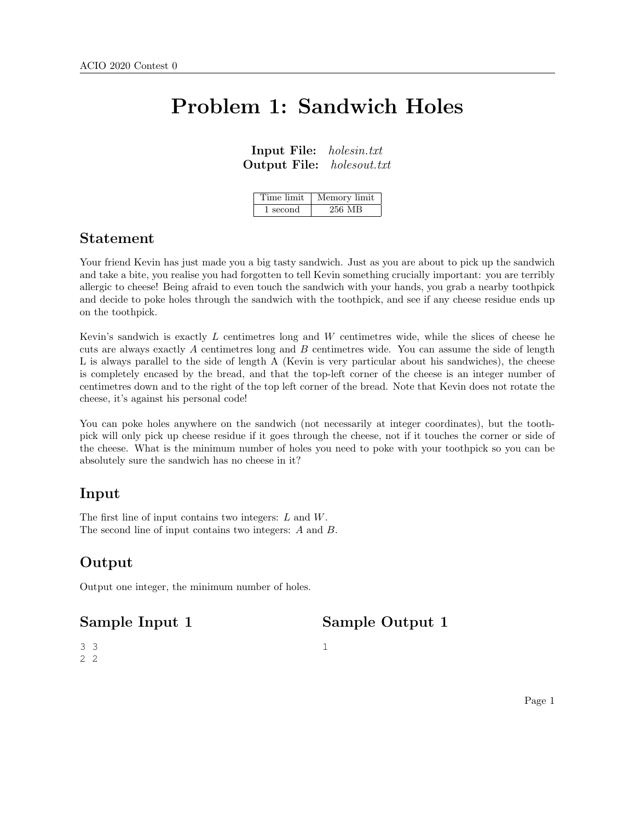## Problem 1: Sandwich Holes

Input File: holesin.txt Output File: holesout.txt

| Time limit | Memory limit |
|------------|--------------|
| 1 second   | 256 MB       |

#### Statement

Your friend Kevin has just made you a big tasty sandwich. Just as you are about to pick up the sandwich and take a bite, you realise you had forgotten to tell Kevin something crucially important: you are terribly allergic to cheese! Being afraid to even touch the sandwich with your hands, you grab a nearby toothpick and decide to poke holes through the sandwich with the toothpick, and see if any cheese residue ends up on the toothpick.

Kevin's sandwich is exactly L centimetres long and W centimetres wide, while the slices of cheese he cuts are always exactly A centimetres long and B centimetres wide. You can assume the side of length L is always parallel to the side of length A (Kevin is very particular about his sandwiches), the cheese is completely encased by the bread, and that the top-left corner of the cheese is an integer number of centimetres down and to the right of the top left corner of the bread. Note that Kevin does not rotate the cheese, it's against his personal code!

You can poke holes anywhere on the sandwich (not necessarily at integer coordinates), but the toothpick will only pick up cheese residue if it goes through the cheese, not if it touches the corner or side of the cheese. What is the minimum number of holes you need to poke with your toothpick so you can be absolutely sure the sandwich has no cheese in it?

1

#### Input

The first line of input contains two integers: L and W. The second line of input contains two integers: A and B.

### Output

Output one integer, the minimum number of holes.

#### Sample Input 1

Sample Output 1

3 3 2 2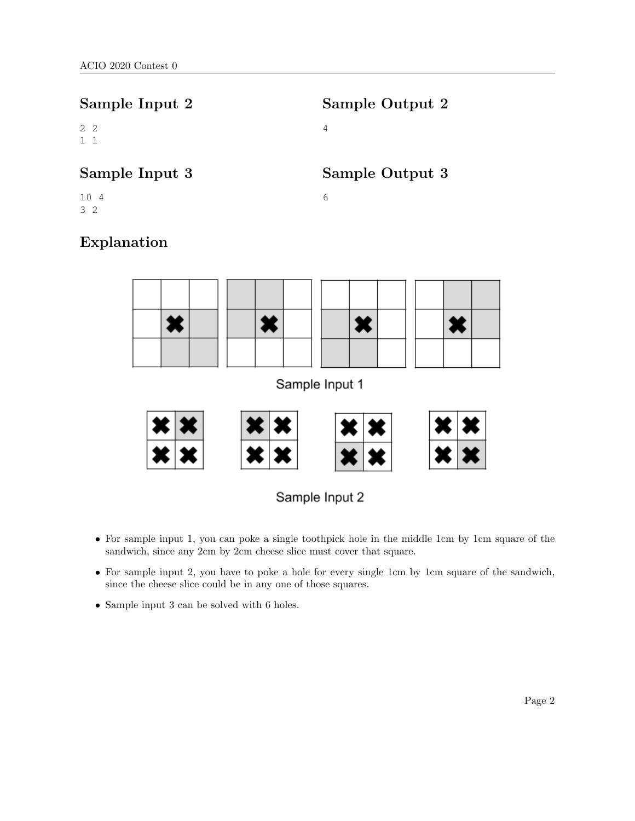| Sample Input 2            | Sample Output 2 |
|---------------------------|-----------------|
| $2\quad 2$<br>$1 \quad 1$ | 4               |
| Sample Input 3            | Sample Output 3 |
| 10 4<br>32                | 6               |
| Explanation               |                 |

# × × X X Sample Input 1



- For sample input 1, you can poke a single toothpick hole in the middle 1cm by 1cm square of the sandwich, since any 2cm by 2cm cheese slice must cover that square.
- For sample input 2, you have to poke a hole for every single 1cm by 1cm square of the sandwich, since the cheese slice could be in any one of those squares.
- Sample input 3 can be solved with 6 holes.